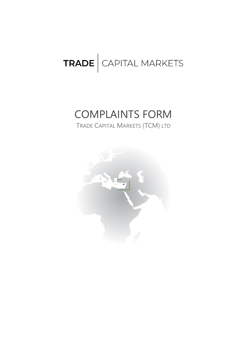## TRADE CAPITAL MARKETS

## COMPLAINTS FORM

TRADE CAPITAL MARKETS (TCM) LTD

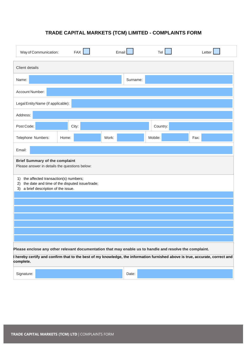## **TRADE CAPITAL MARKETS (TCM) LIMITED - COMPLAINTS FORM**

| Way of Communication:                                                                                                                                                                                                                                 | <b>FAX</b> | Email |          | Tel      | Letter |  |
|-------------------------------------------------------------------------------------------------------------------------------------------------------------------------------------------------------------------------------------------------------|------------|-------|----------|----------|--------|--|
| Client details                                                                                                                                                                                                                                        |            |       |          |          |        |  |
| Name:                                                                                                                                                                                                                                                 |            |       | Surname: |          |        |  |
| Account Number:                                                                                                                                                                                                                                       |            |       |          |          |        |  |
| Legal Entity Name (if applicable):                                                                                                                                                                                                                    |            |       |          |          |        |  |
| Address:                                                                                                                                                                                                                                              |            |       |          |          |        |  |
| Post Code:                                                                                                                                                                                                                                            | City:      |       |          | Country: |        |  |
| Telephone Numbers:<br>Home:                                                                                                                                                                                                                           |            | Work: |          | Mobile:  | Fax:   |  |
| Email:                                                                                                                                                                                                                                                |            |       |          |          |        |  |
| <b>Brief Summary of the complaint</b><br>Please answer in details the questions below:                                                                                                                                                                |            |       |          |          |        |  |
| the affected transaction(s) numbers;<br>1)<br>the date and time of the disputed issue/trade;<br>2)<br>a brief description of the issue.<br>3)                                                                                                         |            |       |          |          |        |  |
|                                                                                                                                                                                                                                                       |            |       |          |          |        |  |
|                                                                                                                                                                                                                                                       |            |       |          |          |        |  |
|                                                                                                                                                                                                                                                       |            |       |          |          |        |  |
|                                                                                                                                                                                                                                                       |            |       |          |          |        |  |
|                                                                                                                                                                                                                                                       |            |       |          |          |        |  |
| Please enclose any other relevant documentation that may enable us to handle and resolve the complaint.<br>I hereby certify and confirm that to the best of my knowledge, the information furnished above is true, accurate, correct and<br>complete. |            |       |          |          |        |  |
| Signature:                                                                                                                                                                                                                                            |            |       | Date:    |          |        |  |